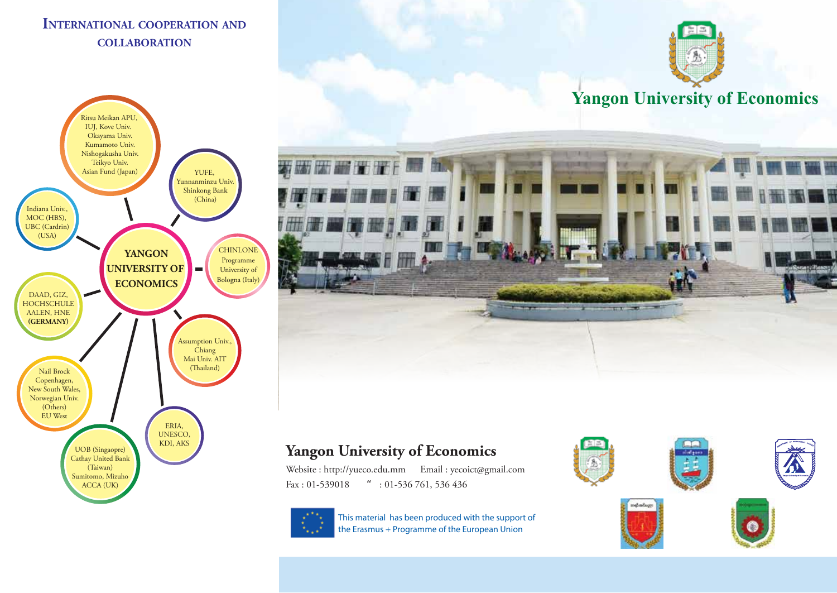## **INTERNATIONAL COOPERATION AND COLLABORATION**









# **Yangon University of Economics**

Website : http://yueco.edu.mm Email : yecoict@gmail.com Fax : 01-539018 ": 01-536 761, 536 436



This material has been produced with the support of the Erasmus + Programme of the European Union